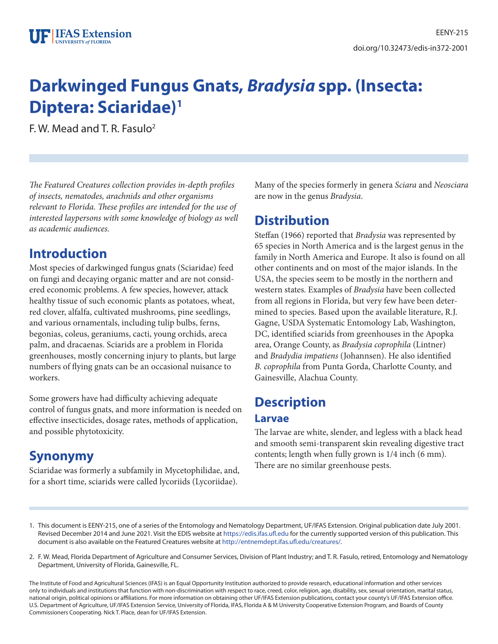# **Darkwinged Fungus Gnats,** *Bradysia* **spp. (Insecta: Diptera: Sciaridae)1**

F. W. Mead and T. R. Fasulo2

*The Featured Creatures collection provides in-depth profiles of insects, nematodes, arachnids and other organisms relevant to Florida. These profiles are intended for the use of interested laypersons with some knowledge of biology as well as academic audiences.*

### **Introduction**

Most species of darkwinged fungus gnats (Sciaridae) feed on fungi and decaying organic matter and are not considered economic problems. A few species, however, attack healthy tissue of such economic plants as potatoes, wheat, red clover, alfalfa, cultivated mushrooms, pine seedlings, and various ornamentals, including tulip bulbs, ferns, begonias, coleus, geraniums, cacti, young orchids, areca palm, and dracaenas. Sciarids are a problem in Florida greenhouses, mostly concerning injury to plants, but large numbers of flying gnats can be an occasional nuisance to workers.

Some growers have had difficulty achieving adequate control of fungus gnats, and more information is needed on effective insecticides, dosage rates, methods of application, and possible phytotoxicity.

# **Synonymy**

Sciaridae was formerly a subfamily in Mycetophilidae, and, for a short time, sciarids were called lycoriids (Lycoriidae).

Many of the species formerly in genera *Sciara* and *Neosciara* are now in the genus *Bradysia*.

# **Distribution**

Steffan (1966) reported that *Bradysia* was represented by 65 species in North America and is the largest genus in the family in North America and Europe. It also is found on all other continents and on most of the major islands. In the USA, the species seem to be mostly in the northern and western states. Examples of *Bradysia* have been collected from all regions in Florida, but very few have been determined to species. Based upon the available literature, R.J. Gagne, USDA Systematic Entomology Lab, Washington, DC, identified sciarids from greenhouses in the Apopka area, Orange County, as *Bradysia coprophila* (Lintner) and *Bradydia impatiens* (Johannsen). He also identified *B. coprophila* from Punta Gorda, Charlotte County, and Gainesville, Alachua County.

# **Description**

#### **Larvae**

The larvae are white, slender, and legless with a black head and smooth semi-transparent skin revealing digestive tract contents; length when fully grown is 1/4 inch (6 mm). There are no similar greenhouse pests.

2. F. W. Mead, Florida Department of Agriculture and Consumer Services, Division of Plant Industry; and T. R. Fasulo, retired, Entomology and Nematology Department, University of Florida, Gainesville, FL.

The Institute of Food and Agricultural Sciences (IFAS) is an Equal Opportunity Institution authorized to provide research, educational information and other services only to individuals and institutions that function with non-discrimination with respect to race, creed, color, religion, age, disability, sex, sexual orientation, marital status, national origin, political opinions or affiliations. For more information on obtaining other UF/IFAS Extension publications, contact your county's UF/IFAS Extension office. U.S. Department of Agriculture, UF/IFAS Extension Service, University of Florida, IFAS, Florida A & M University Cooperative Extension Program, and Boards of County Commissioners Cooperating. Nick T. Place, dean for UF/IFAS Extension.

<sup>1.</sup> This document is EENY-215, one of a series of the Entomology and Nematology Department, UF/IFAS Extension. Original publication date July 2001. Revised December 2014 and June 2021. Visit the EDIS website at https://edis.ifas.ufl.edu for the currently supported version of this publication. This document is also available on the Featured Creatures website at http://entnemdept.ifas.ufl.edu/creatures/.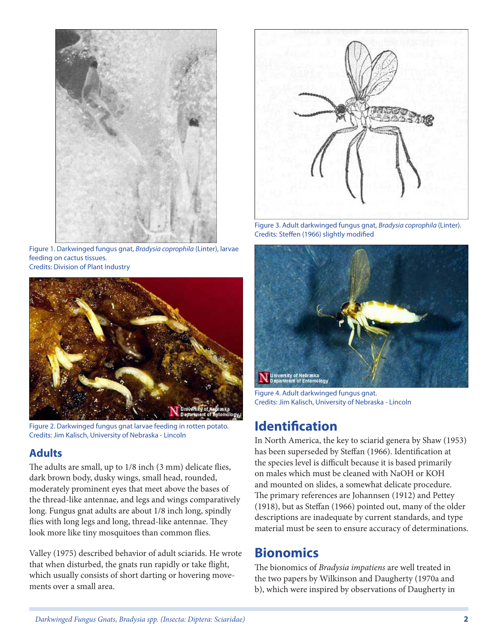

Figure 1. Darkwinged fungus gnat, *Bradysia coprophila* (Linter), larvae feeding on cactus tissues. Credits: Division of Plant Industry



Figure 2. Darkwinged fungus gnat larvae feeding in rotten potato. Credits: Jim Kalisch, University of Nebraska - Lincoln

#### **Adults**

The adults are small, up to 1/8 inch (3 mm) delicate flies, dark brown body, dusky wings, small head, rounded, moderately prominent eyes that meet above the bases of the thread-like antennae, and legs and wings comparatively long. Fungus gnat adults are about 1/8 inch long, spindly flies with long legs and long, thread-like antennae. They look more like tiny mosquitoes than common flies.

Valley (1975) described behavior of adult sciarids. He wrote that when disturbed, the gnats run rapidly or take flight, which usually consists of short darting or hovering movements over a small area.



Figure 3. Adult darkwinged fungus gnat, *Bradysia coprophila* (Linter). Credits: Steffen (1966) slightly modified



Figure 4. Adult darkwinged fungus gnat. Credits: Jim Kalisch, University of Nebraska - Lincoln

### **Identification**

In North America, the key to sciarid genera by Shaw (1953) has been superseded by Steffan (1966). Identification at the species level is difficult because it is based primarily on males which must be cleaned with NaOH or KOH and mounted on slides, a somewhat delicate procedure. The primary references are Johannsen (1912) and Pettey (1918), but as Steffan (1966) pointed out, many of the older descriptions are inadequate by current standards, and type material must be seen to ensure accuracy of determinations.

### **Bionomics**

The bionomics of *Bradysia impatiens* are well treated in the two papers by Wilkinson and Daugherty (1970a and b), which were inspired by observations of Daugherty in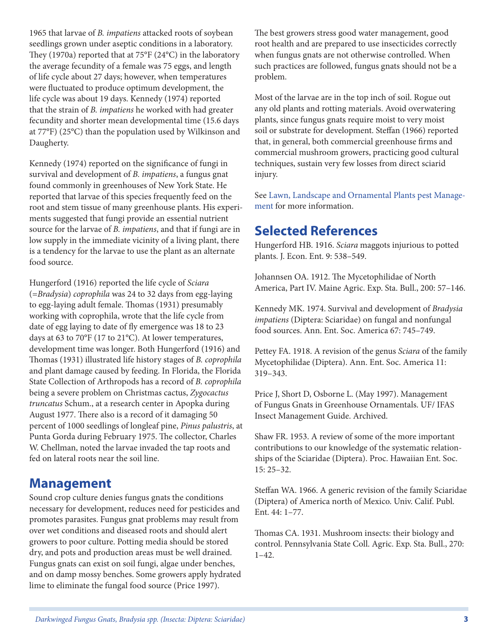1965 that larvae of *B. impatiens* attacked roots of soybean seedlings grown under aseptic conditions in a laboratory. They (1970a) reported that at 75°F (24°C) in the laboratory the average fecundity of a female was 75 eggs, and length of life cycle about 27 days; however, when temperatures were fluctuated to produce optimum development, the life cycle was about 19 days. Kennedy (1974) reported that the strain of *B. impatiens* he worked with had greater fecundity and shorter mean developmental time (15.6 days at 77°F) (25°C) than the population used by Wilkinson and Daugherty.

Kennedy (1974) reported on the significance of fungi in survival and development of *B. impatiens*, a fungus gnat found commonly in greenhouses of New York State. He reported that larvae of this species frequently feed on the root and stem tissue of many greenhouse plants. His experiments suggested that fungi provide an essential nutrient source for the larvae of *B. impatiens*, and that if fungi are in low supply in the immediate vicinity of a living plant, there is a tendency for the larvae to use the plant as an alternate food source.

Hungerford (1916) reported the life cycle of *Sciara* (=*Bradysia*) *coprophila* was 24 to 32 days from egg-laying to egg-laying adult female. Thomas (1931) presumably working with coprophila, wrote that the life cycle from date of egg laying to date of fly emergence was 18 to 23 days at 63 to 70°F (17 to 21°C). At lower temperatures, development time was longer. Both Hungerford (1916) and Thomas (1931) illustrated life history stages of *B. coprophila*  and plant damage caused by feeding. In Florida, the Florida State Collection of Arthropods has a record of *B. coprophila* being a severe problem on Christmas cactus, *Zygocactus truncatus* Schum., at a research center in Apopka during August 1977. There also is a record of it damaging 50 percent of 1000 seedlings of longleaf pine, *Pinus palustris*, at Punta Gorda during February 1975. The collector, Charles W. Chellman, noted the larvae invaded the tap roots and fed on lateral roots near the soil line.

### **Management**

Sound crop culture denies fungus gnats the conditions necessary for development, reduces need for pesticides and promotes parasites. Fungus gnat problems may result from over wet conditions and diseased roots and should alert growers to poor culture. Potting media should be stored dry, and pots and production areas must be well drained. Fungus gnats can exist on soil fungi, algae under benches, and on damp mossy benches. Some growers apply hydrated lime to eliminate the fungal food source (Price 1997).

The best growers stress good water management, good root health and are prepared to use insecticides correctly when fungus gnats are not otherwise controlled. When such practices are followed, fungus gnats should not be a problem.

Most of the larvae are in the top inch of soil. Rogue out any old plants and rotting materials. Avoid overwatering plants, since fungus gnats require moist to very moist soil or substrate for development. Steffan (1966) reported that, in general, both commercial greenhouse firms and commercial mushroom growers, practicing good cultural techniques, sustain very few losses from direct sciarid injury.

See Lawn, Landscape and Ornamental Plants pest Management for more information.

### **Selected References**

Hungerford HB. 1916. *Sciara* maggots injurious to potted plants. J. Econ. Ent. 9: 538–549.

Johannsen OA. 1912. The Mycetophilidae of North America, Part IV. Maine Agric. Exp. Sta. Bull., 200: 57–146.

Kennedy MK. 1974. Survival and development of *Bradysia impatiens* (Diptera: Sciaridae) on fungal and nonfungal food sources. Ann. Ent. Soc. America 67: 745–749.

Pettey FA. 1918. A revision of the genus *Sciara* of the family Mycetophilidae (Diptera). Ann. Ent. Soc. America 11: 319–343.

Price J, Short D, Osborne L. (May 1997). Management of Fungus Gnats in Greenhouse Ornamentals. UF/ IFAS Insect Management Guide. Archived.

Shaw FR. 1953. A review of some of the more important contributions to our knowledge of the systematic relationships of the Sciaridae (Diptera). Proc. Hawaiian Ent. Soc. 15: 25–32.

Steffan WA. 1966. A generic revision of the family Sciaridae (Diptera) of America north of Mexico. Univ. Calif. Publ. Ent. 44: 1–77.

Thomas CA. 1931. Mushroom insects: their biology and control. Pennsylvania State Coll. Agric. Exp. Sta. Bull., 270: 1–42.